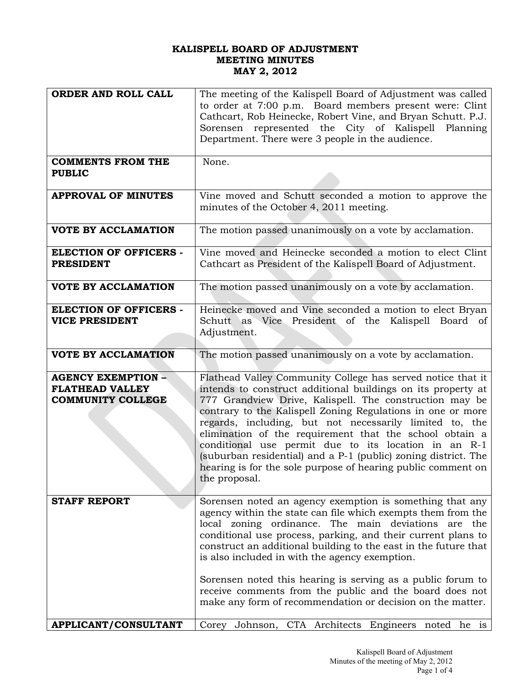## **KALISPELL BOARD OF ADJUSTMENT MEETING MINUTES MAY 2, 2012**

| ORDER AND ROLL CALL           | The meeting of the Kalispell Board of Adjustment was called                                             |  |
|-------------------------------|---------------------------------------------------------------------------------------------------------|--|
|                               | to order at 7:00 p.m. Board members present were: Clint                                                 |  |
|                               | Cathcart, Rob Heinecke, Robert Vine, and Bryan Schutt. P.J.                                             |  |
|                               | Sorensen represented the City of Kalispell Planning<br>Department. There were 3 people in the audience. |  |
|                               |                                                                                                         |  |
|                               |                                                                                                         |  |
| <b>COMMENTS FROM THE</b>      | None.                                                                                                   |  |
| <b>PUBLIC</b>                 |                                                                                                         |  |
|                               |                                                                                                         |  |
| <b>APPROVAL OF MINUTES</b>    | Vine moved and Schutt seconded a motion to approve the                                                  |  |
|                               | minutes of the October 4, 2011 meeting.                                                                 |  |
|                               |                                                                                                         |  |
| <b>VOTE BY ACCLAMATION</b>    | The motion passed unanimously on a vote by acclamation.                                                 |  |
|                               |                                                                                                         |  |
| <b>ELECTION OF OFFICERS -</b> | Vine moved and Heinecke seconded a motion to elect Clint                                                |  |
| <b>PRESIDENT</b>              | Cathcart as President of the Kalispell Board of Adjustment.                                             |  |
|                               |                                                                                                         |  |
| <b>VOTE BY ACCLAMATION</b>    | The motion passed unanimously on a vote by acclamation.                                                 |  |
|                               |                                                                                                         |  |
| <b>ELECTION OF OFFICERS -</b> | Heinecke moved and Vine seconded a motion to elect Bryan                                                |  |
| <b>VICE PRESIDENT</b>         | Schutt as Vice President of the Kalispell Board of                                                      |  |
|                               | Adjustment.                                                                                             |  |
|                               |                                                                                                         |  |
| <b>VOTE BY ACCLAMATION</b>    | The motion passed unanimously on a vote by acclamation.                                                 |  |
|                               |                                                                                                         |  |
| <b>AGENCY EXEMPTION -</b>     | Flathead Valley Community College has served notice that it                                             |  |
| <b>FLATHEAD VALLEY</b>        | intends to construct additional buildings on its property at                                            |  |
| <b>COMMUNITY COLLEGE</b>      | 777 Grandview Drive, Kalispell. The construction may be                                                 |  |
|                               | contrary to the Kalispell Zoning Regulations in one or more                                             |  |
|                               | regards, including, but not necessarily limited to, the                                                 |  |
|                               | elimination of the requirement that the school obtain a                                                 |  |
|                               | conditional use permit due to its location in an R-1                                                    |  |
|                               | (suburban residential) and a P-1 (public) zoning district. The                                          |  |
|                               | hearing is for the sole purpose of hearing public comment on                                            |  |
|                               | the proposal.                                                                                           |  |
|                               |                                                                                                         |  |
| <b>STAFF REPORT</b>           | Sorensen noted an agency exemption is something that any                                                |  |
|                               | agency within the state can file which exempts them from the                                            |  |
|                               | local zoning ordinance. The main deviations are the                                                     |  |
|                               | conditional use process, parking, and their current plans to                                            |  |
|                               | construct an additional building to the east in the future that                                         |  |
|                               | is also included in with the agency exemption.                                                          |  |
|                               |                                                                                                         |  |
|                               | Sorensen noted this hearing is serving as a public forum to                                             |  |
|                               | receive comments from the public and the board does not                                                 |  |
|                               | make any form of recommendation or decision on the matter.                                              |  |
|                               |                                                                                                         |  |
| <b>APPLICANT/CONSULTANT</b>   | Johnson, CTA Architects Engineers noted he is<br>Corey                                                  |  |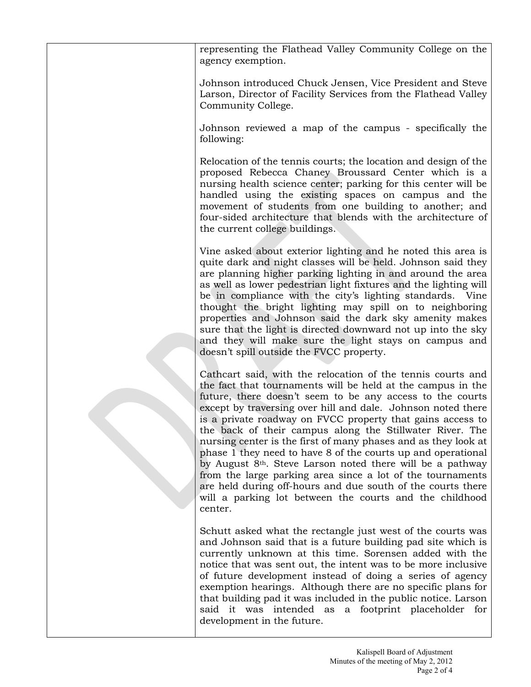representing the Flathead Valley Community College on the agency exemption.

Johnson introduced Chuck Jensen, Vice President and Steve Larson, Director of Facility Services from the Flathead Valley Community College.

Johnson reviewed a map of the campus - specifically the following:

Relocation of the tennis courts; the location and design of the proposed Rebecca Chaney Broussard Center which is a nursing health science center; parking for this center will be handled using the existing spaces on campus and the movement of students from one building to another; and four-sided architecture that blends with the architecture of the current college buildings.

Vine asked about exterior lighting and he noted this area is quite dark and night classes will be held. Johnson said they are planning higher parking lighting in and around the area as well as lower pedestrian light fixtures and the lighting will be in compliance with the city's lighting standards. Vine thought the bright lighting may spill on to neighboring properties and Johnson said the dark sky amenity makes sure that the light is directed downward not up into the sky and they will make sure the light stays on campus and doesn't spill outside the FVCC property.

Cathcart said, with the relocation of the tennis courts and the fact that tournaments will be held at the campus in the future, there doesn't seem to be any access to the courts except by traversing over hill and dale. Johnson noted there is a private roadway on FVCC property that gains access to the back of their campus along the Stillwater River. The nursing center is the first of many phases and as they look at phase 1 they need to have 8 of the courts up and operational by August 8th. Steve Larson noted there will be a pathway from the large parking area since a lot of the tournaments are held during off-hours and due south of the courts there will a parking lot between the courts and the childhood center.

Schutt asked what the rectangle just west of the courts was and Johnson said that is a future building pad site which is currently unknown at this time. Sorensen added with the notice that was sent out, the intent was to be more inclusive of future development instead of doing a series of agency exemption hearings. Although there are no specific plans for that building pad it was included in the public notice. Larson said it was intended as a footprint placeholder for development in the future.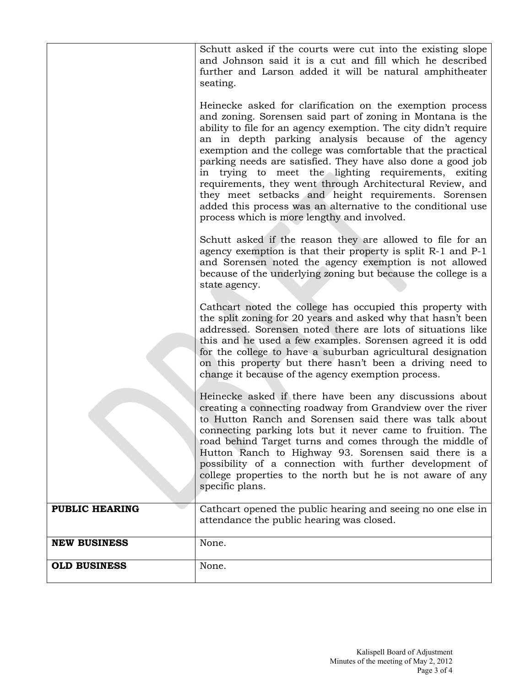|                       | Schutt asked if the courts were cut into the existing slope<br>and Johnson said it is a cut and fill which he described<br>further and Larson added it will be natural amphitheater<br>seating.                                                                                                                                                                                                                                                                                                                                                                                                                                                                              |
|-----------------------|------------------------------------------------------------------------------------------------------------------------------------------------------------------------------------------------------------------------------------------------------------------------------------------------------------------------------------------------------------------------------------------------------------------------------------------------------------------------------------------------------------------------------------------------------------------------------------------------------------------------------------------------------------------------------|
|                       | Heinecke asked for clarification on the exemption process<br>and zoning. Sorensen said part of zoning in Montana is the<br>ability to file for an agency exemption. The city didn't require<br>an in depth parking analysis because of the agency<br>exemption and the college was comfortable that the practical<br>parking needs are satisfied. They have also done a good job<br>in trying to meet the lighting requirements, exiting<br>requirements, they went through Architectural Review, and<br>they meet setbacks and height requirements. Sorensen<br>added this process was an alternative to the conditional use<br>process which is more lengthy and involved. |
|                       | Schutt asked if the reason they are allowed to file for an<br>agency exemption is that their property is split R-1 and P-1<br>and Sorensen noted the agency exemption is not allowed<br>because of the underlying zoning but because the college is a<br>state agency.                                                                                                                                                                                                                                                                                                                                                                                                       |
|                       | Cathcart noted the college has occupied this property with<br>the split zoning for 20 years and asked why that hasn't been<br>addressed. Sorensen noted there are lots of situations like<br>this and he used a few examples. Sorensen agreed it is odd<br>for the college to have a suburban agricultural designation<br>on this property but there hasn't been a driving need to<br>change it because of the agency exemption process.                                                                                                                                                                                                                                     |
|                       | Heinecke asked if there have been any discussions about<br>creating a connecting roadway from Grandview over the river<br>to Hutton Ranch and Sorensen said there was talk about<br>connecting parking lots but it never came to fruition. The<br>road behind Target turns and comes through the middle of<br>Hutton Ranch to Highway 93. Sorensen said there is a<br>possibility of a connection with further development of<br>college properties to the north but he is not aware of any<br>specific plans.                                                                                                                                                               |
| <b>PUBLIC HEARING</b> | Cathcart opened the public hearing and seeing no one else in<br>attendance the public hearing was closed.                                                                                                                                                                                                                                                                                                                                                                                                                                                                                                                                                                    |
| <b>NEW BUSINESS</b>   | None.                                                                                                                                                                                                                                                                                                                                                                                                                                                                                                                                                                                                                                                                        |
| <b>OLD BUSINESS</b>   | None.                                                                                                                                                                                                                                                                                                                                                                                                                                                                                                                                                                                                                                                                        |